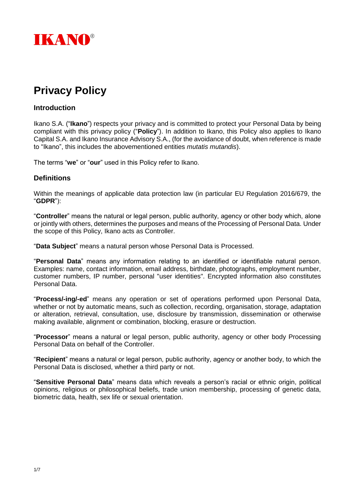

# **Privacy Policy**

#### **Introduction**

Ikano S.A. ("**Ikano**") respects your privacy and is committed to protect your Personal Data by being compliant with this privacy policy ("**Policy**"). In addition to Ikano, this Policy also applies to Ikano Capital S.A. and Ikano Insurance Advisory S.A., (for the avoidance of doubt, when reference is made to "Ikano", this includes the abovementioned entities *mutatis mutandis*).

The terms "**we**" or "**our**" used in this Policy refer to Ikano.

# **Definitions**

Within the meanings of applicable data protection law (in particular EU Regulation 2016/679, the "**GDPR**"):

"**Controller**" means the natural or legal person, public authority, agency or other body which, alone or jointly with others, determines the purposes and means of the Processing of Personal Data. Under the scope of this Policy, Ikano acts as Controller.

"**Data Subject**" means a natural person whose Personal Data is Processed.

"**Personal Data**" means any information relating to an identified or identifiable natural person. Examples: name, contact information, email address, birthdate, photographs, employment number, customer numbers, IP number, personal "user identities". Encrypted information also constitutes Personal Data.

"**Process/-ing/-ed**" means any operation or set of operations performed upon Personal Data, whether or not by automatic means, such as collection, recording, organisation, storage, adaptation or alteration, retrieval, consultation, use, disclosure by transmission, dissemination or otherwise making available, alignment or combination, blocking, erasure or destruction.

"**Processor**" means a natural or legal person, public authority, agency or other body Processing Personal Data on behalf of the Controller.

"**Recipient**" means a natural or legal person, public authority, agency or another body, to which the Personal Data is disclosed, whether a third party or not.

"**Sensitive Personal Data**" means data which reveals a person's racial or ethnic origin, political opinions, religious or philosophical beliefs, trade union membership, processing of genetic data, biometric data, health, sex life or sexual orientation.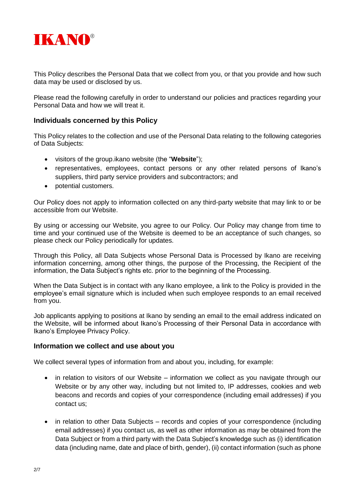

This Policy describes the Personal Data that we collect from you, or that you provide and how such data may be used or disclosed by us.

Please read the following carefully in order to understand our policies and practices regarding your Personal Data and how we will treat it.

#### **Individuals concerned by this Policy**

This Policy relates to the collection and use of the Personal Data relating to the following categories of Data Subjects:

- visitors of the group.ikano website (the "**Website**");
- representatives, employees, contact persons or any other related persons of Ikano's suppliers, third party service providers and subcontractors; and
- potential customers.

Our Policy does not apply to information collected on any third-party website that may link to or be accessible from our Website.

By using or accessing our Website, you agree to our Policy. Our Policy may change from time to time and your continued use of the Website is deemed to be an acceptance of such changes, so please check our Policy periodically for updates.

Through this Policy, all Data Subjects whose Personal Data is Processed by Ikano are receiving information concerning, among other things, the purpose of the Processing, the Recipient of the information, the Data Subject's rights etc. prior to the beginning of the Processing.

When the Data Subject is in contact with any Ikano employee, a link to the Policy is provided in the employee's email signature which is included when such employee responds to an email received from you.

Job applicants applying to positions at Ikano by sending an email to the email address indicated on the Website, will be informed about Ikano's Processing of their Personal Data in accordance with Ikano's Employee Privacy Policy.

#### **Information we collect and use about you**

We collect several types of information from and about you, including, for example:

- in relation to visitors of our Website information we collect as you navigate through our Website or by any other way, including but not limited to, IP addresses, cookies and web beacons and records and copies of your correspondence (including email addresses) if you contact us;
- in relation to other Data Subjects records and copies of your correspondence (including email addresses) if you contact us, as well as other information as may be obtained from the Data Subject or from a third party with the Data Subject's knowledge such as (i) identification data (including name, date and place of birth, gender), (ii) contact information (such as phone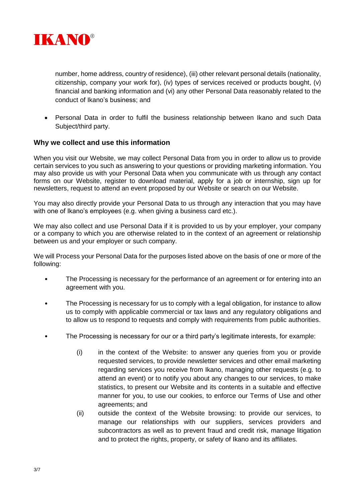

number, home address, country of residence), (iii) other relevant personal details (nationality, citizenship, company your work for), (iv) types of services received or products bought, (v) financial and banking information and (vi) any other Personal Data reasonably related to the conduct of Ikano's business; and

• Personal Data in order to fulfil the business relationship between Ikano and such Data Subject/third party.

# **Why we collect and use this information**

When you visit our Website, we may collect Personal Data from you in order to allow us to provide certain services to you such as answering to your questions or providing marketing information. You may also provide us with your Personal Data when you communicate with us through any contact forms on our Website, register to download material, apply for a job or internship, sign up for newsletters, request to attend an event proposed by our Website or search on our Website.

You may also directly provide your Personal Data to us through any interaction that you may have with one of Ikano's employees (e.g. when giving a business card etc.).

We may also collect and use Personal Data if it is provided to us by your employer, your company or a company to which you are otherwise related to in the context of an agreement or relationship between us and your employer or such company.

We will Process your Personal Data for the purposes listed above on the basis of one or more of the following:

- The Processing is necessary for the performance of an agreement or for entering into an agreement with you.
- The Processing is necessary for us to comply with a legal obligation, for instance to allow us to comply with applicable commercial or tax laws and any regulatory obligations and to allow us to respond to requests and comply with requirements from public authorities.
- The Processing is necessary for our or a third party's legitimate interests, for example:
	- (i) in the context of the Website: to answer any queries from you or provide requested services, to provide newsletter services and other email marketing regarding services you receive from Ikano, managing other requests (e.g. to attend an event) or to notify you about any changes to our services, to make statistics, to present our Website and its contents in a suitable and effective manner for you, to use our cookies, to enforce our Terms of Use and other agreements; and
	- (ii) outside the context of the Website browsing: to provide our services, to manage our relationships with our suppliers, services providers and subcontractors as well as to prevent fraud and credit risk, manage litigation and to protect the rights, property, or safety of Ikano and its affiliates.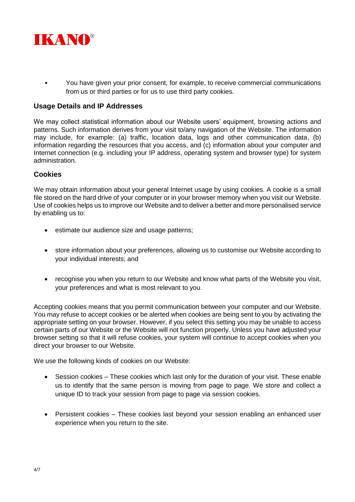

• You have given your prior consent, for example, to receive commercial communications from us or third parties or for us to use third party cookies.

#### **Usage Details and IP Addresses**

We may collect statistical information about our Website users' equipment, browsing actions and patterns. Such information derives from your visit to/any navigation of the Website. The information may include, for example: (a) traffic, location data, logs and other communication data, (b) information regarding the resources that you access, and (c) information about your computer and Internet connection (e.g. including your IP address, operating system and browser type) for system administration.

# **Cookies**

We may obtain information about your general Internet usage by using cookies. A cookie is a small file stored on the hard drive of your computer or in your browser memory when you visit our Website. Use of cookies helps us to improve our Website and to deliver a better and more personalised service by enabling us to:

- estimate our audience size and usage patterns;
- store information about your preferences, allowing us to customise our Website according to your individual interests; and
- recognise you when you return to our Website and know what parts of the Website you visit, your preferences and what is most relevant to you.

Accepting cookies means that you permit communication between your computer and our Website. You may refuse to accept cookies or be alerted when cookies are being sent to you by activating the appropriate setting on your browser. However, if you select this setting you may be unable to access certain parts of our Website or the Website will not function properly. Unless you have adjusted your browser setting so that it will refuse cookies, your system will continue to accept cookies when you direct your browser to our Website.

We use the following kinds of cookies on our Website:

- Session cookies These cookies which last only for the duration of your visit. These enable us to identify that the same person is moving from page to page. We store and collect a unique ID to track your session from page to page via session cookies.
- Persistent cookies These cookies last beyond your session enabling an enhanced user experience when you return to the site.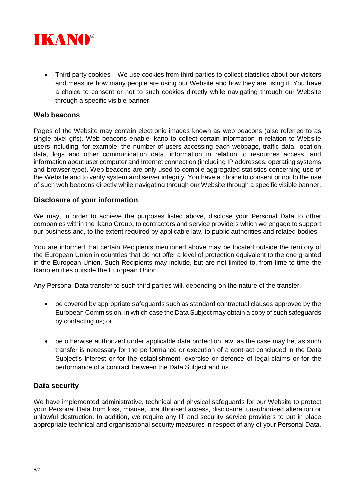

• Third party cookies – We use cookies from third parties to collect statistics about our visitors and measure how many people are using our Website and how they are using it. You have a choice to consent or not to such cookies directly while navigating through our Website through a specific visible banner.

# **Web beacons**

Pages of the Website may contain electronic images known as web beacons (also referred to as single-pixel gifs). Web beacons enable Ikano to collect certain information in relation to Website users including, for example, the number of users accessing each webpage, traffic data, location data, logs and other communication data, information in relation to resources access, and information about user computer and Internet connection (including IP addresses, operating systems and browser type). Web beacons are only used to compile aggregated statistics concerning use of the Website and to verify system and server integrity. You have a choice to consent or not to the use of such web beacons directly while navigating through our Website through a specific visible banner.

# **Disclosure of your information**

We may, in order to achieve the purposes listed above, disclose your Personal Data to other companies within the Ikano Group, to contractors and service providers which we engage to support our business and, to the extent required by applicable law, to public authorities and related bodies.

You are informed that certain Recipients mentioned above may be located outside the territory of the European Union in countries that do not offer a level of protection equivalent to the one granted in the European Union. Such Recipients may include, but are not limited to, from time to time the Ikano entities outside the European Union.

Any Personal Data transfer to such third parties will, depending on the nature of the transfer:

- be covered by appropriate safeguards such as standard contractual clauses approved by the European Commission, in which case the Data Subject may obtain a copy of such safeguards by contacting us; or
- be otherwise authorized under applicable data protection law, as the case may be, as such transfer is necessary for the performance or execution of a contract concluded in the Data Subject's interest or for the establishment, exercise or defence of legal claims or for the performance of a contract between the Data Subject and us.

# **Data security**

We have implemented administrative, technical and physical safeguards for our Website to protect your Personal Data from loss, misuse, unauthorised access, disclosure, unauthorised alteration or unlawful destruction. In addition, we require any IT and security service providers to put in place appropriate technical and organisational security measures in respect of any of your Personal Data.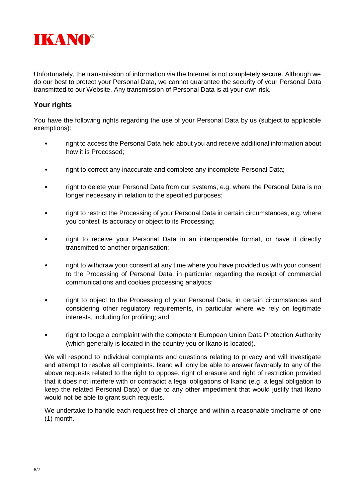

Unfortunately, the transmission of information via the Internet is not completely secure. Although we do our best to protect your Personal Data, we cannot guarantee the security of your Personal Data transmitted to our Website. Any transmission of Personal Data is at your own risk.

# **Your rights**

You have the following rights regarding the use of your Personal Data by us (subject to applicable exemptions):

- right to access the Personal Data held about you and receive additional information about how it is Processed;
- right to correct any inaccurate and complete any incomplete Personal Data;
- right to delete your Personal Data from our systems, e.g. where the Personal Data is no longer necessary in relation to the specified purposes;
- right to restrict the Processing of your Personal Data in certain circumstances, e.g. where you contest its accuracy or object to its Processing;
- right to receive your Personal Data in an interoperable format, or have it directly transmitted to another organisation;
- right to withdraw your consent at any time where you have provided us with your consent to the Processing of Personal Data, in particular regarding the receipt of commercial communications and cookies processing analytics;
- right to object to the Processing of your Personal Data, in certain circumstances and considering other regulatory requirements, in particular where we rely on legitimate interests, including for profiling; and
- right to lodge a complaint with the competent European Union Data Protection Authority (which generally is located in the country you or Ikano is located).

We will respond to individual complaints and questions relating to privacy and will investigate and attempt to resolve all complaints. Ikano will only be able to answer favorably to any of the above requests related to the right to oppose, right of erasure and right of restriction provided that it does not interfere with or contradict a legal obligations of Ikano (e.g. a legal obligation to keep the related Personal Data) or due to any other impediment that would justify that Ikano would not be able to grant such requests.

We undertake to handle each request free of charge and within a reasonable timeframe of one (1) month.